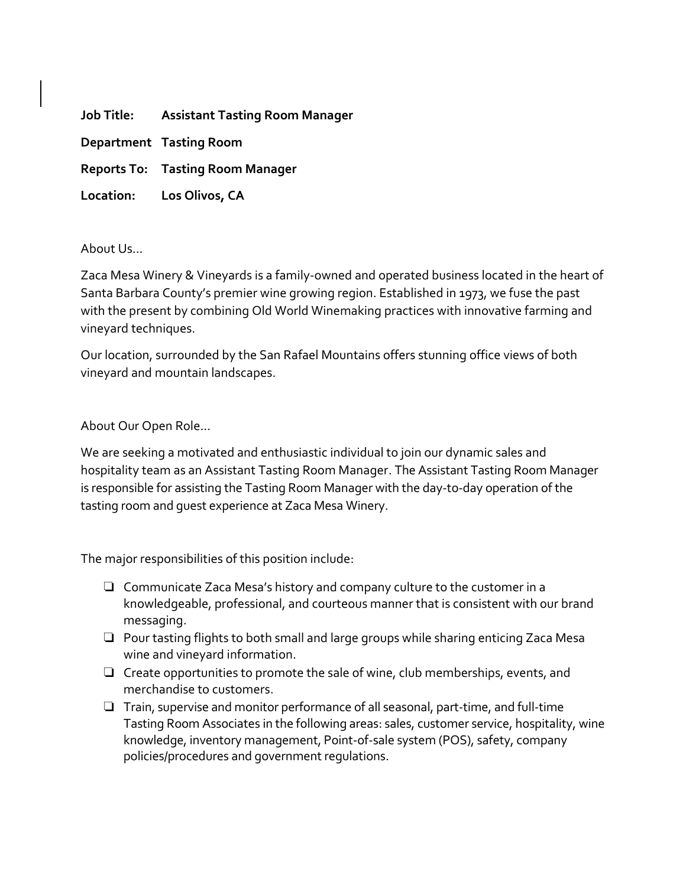**Job Title: Assistant Tasting Room Manager**

**Department Tasting Room**

**Reports To: Tasting Room Manager**

**Location: Los Olivos, CA**

About Us...

Zaca Mesa Winery & Vineyards is a family-owned and operated business located in the heart of Santa Barbara County's premier wine growing region. Established in 1973, we fuse the past with the present by combining Old World Winemaking practices with innovative farming and vineyard techniques.

Our location, surrounded by the San Rafael Mountains offers stunning office views of both vineyard and mountain landscapes.

About Our Open Role...

We are seeking a motivated and enthusiastic individual to join our dynamic sales and hospitality team as an Assistant Tasting Room Manager. The Assistant Tasting Room Manager is responsible for assisting the Tasting Room Manager with the day-to-day operation of the tasting room and guest experience at Zaca Mesa Winery.

The major responsibilities of this position include:

- ❏ Communicate Zaca Mesa's history and company culture to the customer in a knowledgeable, professional, and courteous manner that is consistent with our brand messaging.
- ❏ Pour tasting flights to both small and large groups while sharing enticing Zaca Mesa wine and vineyard information.
- ❏ Create opportunities to promote the sale of wine, club memberships, events, and merchandise to customers.
- ❏ Train, supervise and monitor performance of all seasonal, part-time, and full-time Tasting Room Associates in the following areas: sales, customer service, hospitality, wine knowledge, inventory management, Point-of-sale system (POS), safety, company policies/procedures and government regulations.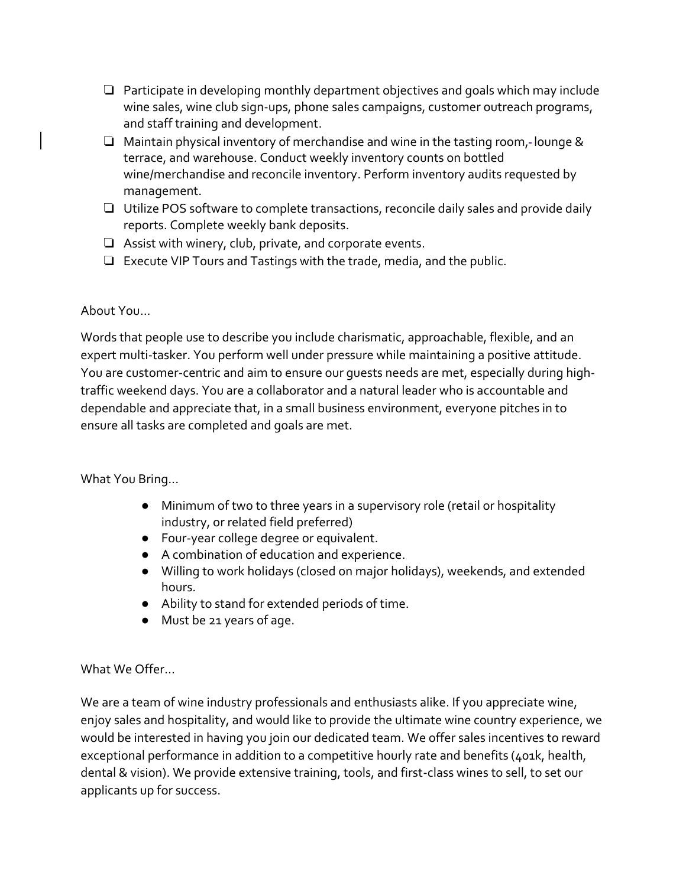- ❏ Participate in developing monthly department objectives and goals which may include wine sales, wine club sign-ups, phone sales campaigns, customer outreach programs, and staff training and development.
- ❏ Maintain physical inventory of merchandise and wine in the tasting room, lounge & terrace, and warehouse. Conduct weekly inventory counts on bottled wine/merchandise and reconcile inventory. Perform inventory audits requested by management.
- ❏ Utilize POS software to complete transactions, reconcile daily sales and provide daily reports. Complete weekly bank deposits.
- ❏ Assist with winery, club, private, and corporate events.
- ❏ Execute VIP Tours and Tastings with the trade, media, and the public.

## About You...

Words that people use to describe you include charismatic, approachable, flexible, and an expert multi-tasker. You perform well under pressure while maintaining a positive attitude. You are customer-centric and aim to ensure our guests needs are met, especially during hightraffic weekend days. You are a collaborator and a natural leader who is accountable and dependable and appreciate that, in a small business environment, everyone pitches in to ensure all tasks are completed and goals are met.

## What You Bring...

- Minimum of two to three years in a supervisory role (retail or hospitality industry, or related field preferred)
- Four-year college degree or equivalent.
- A combination of education and experience.
- Willing to work holidays (closed on major holidays), weekends, and extended hours.
- Ability to stand for extended periods of time.
- Must be 21 years of age.

## What We Offer…

We are a team of wine industry professionals and enthusiasts alike. If you appreciate wine, enjoy sales and hospitality, and would like to provide the ultimate wine country experience, we would be interested in having you join our dedicated team. We offer sales incentives to reward exceptional performance in addition to a competitive hourly rate and benefits (401k, health, dental & vision). We provide extensive training, tools, and first-class wines to sell, to set our applicants up for success.